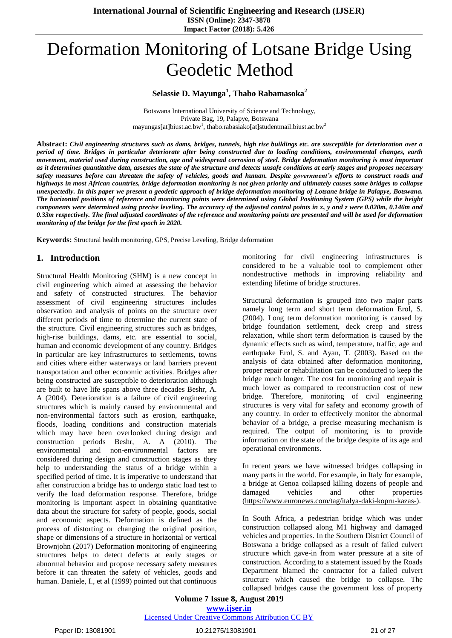# Deformation Monitoring of Lotsane Bridge Using Geodetic Method

# **Selassie D. Mayunga<sup>1</sup> , Thabo Rabamasoka<sup>2</sup>**

Botswana International University of Science and Technology, Private Bag, 19, Palapye, Botswana mayungas[at]biust.ac.bw<sup>1</sup>, thabo.rabasiako[at]studentmail.biust.ac.bw<sup>2</sup>

Abstract: Civil engineering structures such as dams, bridges, tunnels, high rise buildings etc. are susceptible for deterioration over a *period of time. Bridges in particular deteriorate after being constructed due to loading conditions, environmental changes, earth* movement, material used during construction, age and widespread corrosion of steel. Bridge deformation monitoring is most important as it determines quantitative data, assesses the state of the structure and detects unsafe conditions at early stages and proposes necessary safety measures before can threaten the safety of vehicles, goods and human. Despite government's efforts to construct roads and highways in most African countries, bridge deformation monitoring is not given priority and ultimately causes some bridges to collapse unexpectedly. In this paper we present a geodetic approach of bridge deformation monitoring of Lotsane bridge in Palapye, Botswana. The horizontal positions of reference and monitoring points were determined using Global Positioning System (GPS) while the height components were determined using precise leveling. The accuracy of the adjusted control points in x, y and z were  $0.020m$ ,  $0.146m$  and 0.33m respectively. The final adjusted coordinates of the reference and monitoring points are presented and will be used for deformation *monitoring of the bridge for the first epoch in 2020.*

**Keywords:** Structural health monitoring, GPS, Precise Leveling, Bridge deformation

# **1. Introduction**

Structural Health Monitoring (SHM) is a new concept in civil engineering which aimed at assessing the behavior and safety of constructed structures. The behavior assessment of civil engineering structures includes observation and analysis of points on the structure over different periods of time to determine the current state of the structure. Civil engineering structures such as bridges, high-rise buildings, dams, etc. are essential to social, human and economic development of any country. Bridges in particular are key infrastructures to settlements, towns and cities where either waterways or land barriers prevent transportation and other economic activities. Bridges after being constructed are susceptible to deterioration although are built to have life spans above three decades Beshr, A. A (2004). Deterioration is a failure of civil engineering structures which is mainly caused by environmental and non-environmental factors such as erosion, earthquake, floods, loading conditions and construction materials which may have been overlooked during design and construction periods Beshr, A. A (2010). The environmental and non-environmental factors are considered during design and construction stages as they help to understanding the status of a bridge within a specified period of time. It is imperative to understand that after construction a bridge has to undergo static load test to verify the load deformation response. Therefore, bridge monitoring is important aspect in obtaining quantitative data about the structure for safety of people, goods, social and economic aspects. Deformation is defined as the process of distorting or changing the original position, shape or dimensions of a structure in horizontal or vertical Brownjohn (2017) Deformation monitoring of engineering structures helps to detect defects at early stages or abnormal behavior and propose necessary safety measures before it can threaten the safety of vehicles, goods and human. Daniele, I., et al (1999) pointed out that continuous

monitoring for civil engineering infrastructures is considered to be a valuable tool to complement other nondestructive methods in improving reliability and extending lifetime of bridge structures.

Structural deformation is grouped into two major parts namely long term and short term deformation Erol, S. (2004). Long term deformation monitoring is caused by bridge foundation settlement, deck creep and stress relaxation, while short term deformation is caused by the dynamic effects such as wind, temperature, traffic, age and earthquake Erol, S. and Ayan, T. (2003). Based on the analysis of data obtained after deformation monitoring, proper repair or rehabilitation can be conducted to keep the bridge much longer. The cost for monitoring and repair is much lower as compared to reconstruction cost of new bridge. Therefore, monitoring of civil engineering structures is very vital for safety and economy growth of any country. In order to effectively monitor the abnormal behavior of a bridge, a precise measuring mechanism is required. The output of monitoring is to provide information on the state of the bridge despite of its age and operational environments.

In recent years we have witnessed bridges collapsing in many parts in the world. For example, in Italy for example, a bridge at Genoa collapsed killing dozens of people and damaged vehicles and other properties [\(https://www.euronews.com/tag/italya-daki-kopru-kazas-\)](https://www.euronews.com/tag/italya-daki-kopru-kazas-).

In South Africa, a pedestrian bridge which was under construction collapsed along M1 highway and damaged vehicles and properties. In the Southern District Council of Botswana a bridge collapsed as a result of failed culvert structure which gave-in from water pressure at a site of construction. According to a statement issued by the Roads Department blamed the contractor for a failed culvert structure which caused the bridge to collapse. The collapsed bridges cause the government loss of property

**Volume 7 Issue 8, August 2019 www.ijser.in** Licensed Under Creative Commons Attribution CC BY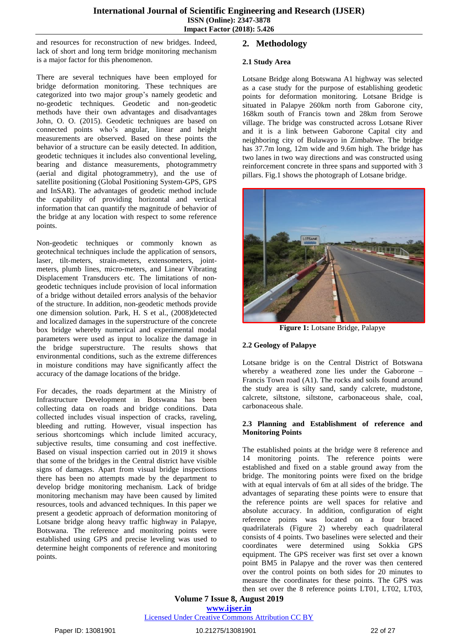and resources for reconstruction of new bridges. Indeed, lack of short and long term bridge monitoring mechanism is a major factor for this phenomenon.

There are several techniques have been employed for bridge deformation monitoring. These techniques are categorized into two major group's namely geodetic and no-geodetic techniques. Geodetic and non-geodetic methods have their own advantages and disadvantages John, O. O. (2015). Geodetic techniques are based on connected points who's angular, linear and height measurements are observed. Based on these points the behavior of a structure can be easily detected. In addition, geodetic techniques it includes also conventional leveling, bearing and distance measurements, photogrammetry (aerial and digital photogrammetry), and the use of satellite positioning (Global Positioning System-GPS, GPS and InSAR). The advantages of geodetic method include the capability of providing horizontal and vertical information that can quantify the magnitude of behavior of the bridge at any location with respect to some reference points.

Non-geodetic techniques or commonly known as geotechnical techniques include the application of sensors, laser, tilt-meters, strain-meters, extensometers, jointmeters, plumb lines, micro-meters, and Linear Vibrating Displacement Transducers etc. The limitations of nongeodetic techniques include provision of local information of a bridge without detailed errors analysis of the behavior of the structure. In addition, non-geodetic methods provide one dimension solution. Park, H. S et al., (2008)detected and localized damages in the superstructure of the concrete box bridge whereby numerical and experimental modal parameters were used as input to localize the damage in the bridge superstructure. The results shows that environmental conditions, such as the extreme differences in moisture conditions may have significantly affect the accuracy of the damage locations of the bridge.

For decades, the roads department at the Ministry of Infrastructure Development in Botswana has been collecting data on roads and bridge conditions. Data collected includes visual inspection of cracks, raveling, bleeding and rutting. However, visual inspection has serious shortcomings which include limited accuracy, subjective results, time consuming and cost ineffective. Based on visual inspection carried out in 2019 it shows that some of the bridges in the Central district have visible signs of damages. Apart from visual bridge inspections there has been no attempts made by the department to develop bridge monitoring mechanism. Lack of bridge monitoring mechanism may have been caused by limited resources, tools and advanced techniques. In this paper we present a geodetic approach of deformation monitoring of Lotsane bridge along heavy traffic highway in Palapye, Botswana. The reference and monitoring points were established using GPS and precise leveling was used to determine height components of reference and monitoring points.

# **2. Methodology**

# **2.1 Study Area**

Lotsane Bridge along Botswana A1 highway was selected as a case study for the purpose of establishing geodetic points for deformation monitoring. Lotsane Bridge is situated in Palapye 260km north from Gaborone city, 168km south of Francis town and 28km from Serowe village. The bridge was constructed across Lotsane River and it is a link between Gaborone Capital city and neighboring city of Bulawayo in Zimbabwe. The bridge has 37.7m long, 12m wide and 9.6m high. The bridge has two lanes in two way directions and was constructed using reinforcement concrete in three spans and supported with 3 pillars. Fig.1 shows the photograph of Lotsane bridge.



**Figure 1:** Lotsane Bridge, Palapye

# **2.2 Geology of Palapye**

Lotsane bridge is on the Central District of Botswana whereby a weathered zone lies under the Gaborone – Francis Town road (A1). The rocks and soils found around the study area is silty sand, sandy calcrete, mudstone, calcrete, siltstone, siltstone, carbonaceous shale, coal, carbonaceous shale.

#### **2.3 Planning and Establishment of reference and Monitoring Points**

The established points at the bridge were 8 reference and 14 monitoring points. The reference points were established and fixed on a stable ground away from the bridge. The monitoring points were fixed on the bridge with at equal intervals of 6m at all sides of the bridge. The advantages of separating these points were to ensure that the reference points are well spaces for relative and absolute accuracy. In addition, configuration of eight reference points was located on a four braced quadrilaterals (Figure 2) whereby each quadrilateral consists of 4 points. Two baselines were selected and their coordinates were determined using Sokkia GPS equipment. The GPS receiver was first set over a known point BM5 in Palapye and the rover was then centered over the control points on both sides for 20 minutes to measure the coordinates for these points. The GPS was then set over the 8 reference points LT01, LT02, LT03,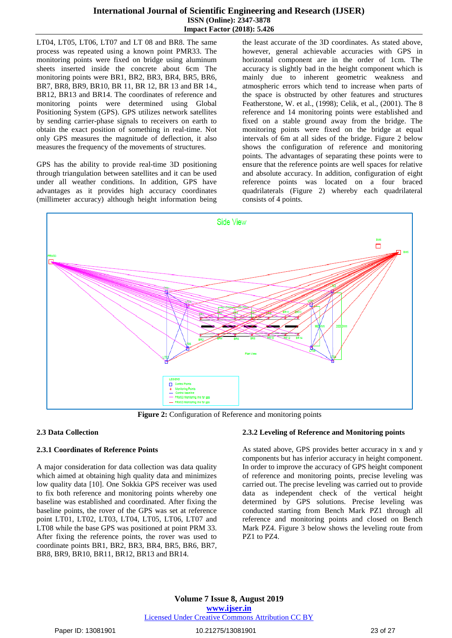LT04, LT05, LT06, LT07 and LT 08 and BR8. The same process was repeated using a known point PMR33. The monitoring points were fixed on bridge using aluminum sheets inserted inside the concrete about 6cm The monitoring points were BR1, BR2, BR3, BR4, BR5, BR6, BR7, BR8, BR9, BR10, BR 11, BR 12, BR 13 and BR 14., BR12, BR13 and BR14. The coordinates of reference and monitoring points were determined using Global Positioning System (GPS). GPS utilizes network satellites by sending carrier-phase signals to receivers on earth to obtain the exact position of something in real-time. Not only GPS measures the magnitude of deflection, it also measures the frequency of the movements of structures.

GPS has the ability to provide real-time 3D positioning through triangulation between satellites and it can be used under all weather conditions. In addition, GPS have advantages as it provides high accuracy coordinates (millimeter accuracy) although height information being the least accurate of the 3D coordinates. As stated above, however, general achievable accuracies with GPS in horizontal component are in the order of 1cm. The accuracy is slightly bad in the height component which is mainly due to inherent geometric weakness and atmospheric errors which tend to increase when parts of the space is obstructed by other features and structures Featherstone, W. et al., (1998); Celik, et al., (2001). The 8 reference and 14 monitoring points were established and fixed on a stable ground away from the bridge. The monitoring points were fixed on the bridge at equal intervals of 6m at all sides of the bridge. Figure 2 below shows the configuration of reference and monitoring points. The advantages of separating these points were to ensure that the reference points are well spaces for relative and absolute accuracy. In addition, configuration of eight reference points was located on a four braced quadrilaterals (Figure 2) whereby each quadrilateral consists of 4 points.



**Figure 2:** Configuration of Reference and monitoring points

#### **2.3 Data Collection**

#### **2.3.1 Coordinates of Reference Points**

A major consideration for data collection was data quality which aimed at obtaining high quality data and minimizes low quality data [10]. One Sokkia GPS receiver was used to fix both reference and monitoring points whereby one baseline was established and coordinated. After fixing the baseline points, the rover of the GPS was set at reference point LT01, LT02, LT03, LT04, LT05, LT06, LT07 and LT08 while the base GPS was positioned at point PRM 33. After fixing the reference points, the rover was used to coordinate points BR1, BR2, BR3, BR4, BR5, BR6, BR7, BR8, BR9, BR10, BR11, BR12, BR13 and BR14.

#### **2.3.2 Leveling of Reference and Monitoring points**

As stated above, GPS provides better accuracy in x and y components but has inferior accuracy in height component. In order to improve the accuracy of GPS height component of reference and monitoring points, precise leveling was carried out. The precise leveling was carried out to provide data as independent check of the vertical height determined by GPS solutions. Precise leveling was conducted starting from Bench Mark PZ1 through all reference and monitoring points and closed on Bench Mark PZ4. Figure 3 below shows the leveling route from PZ1 to PZ4.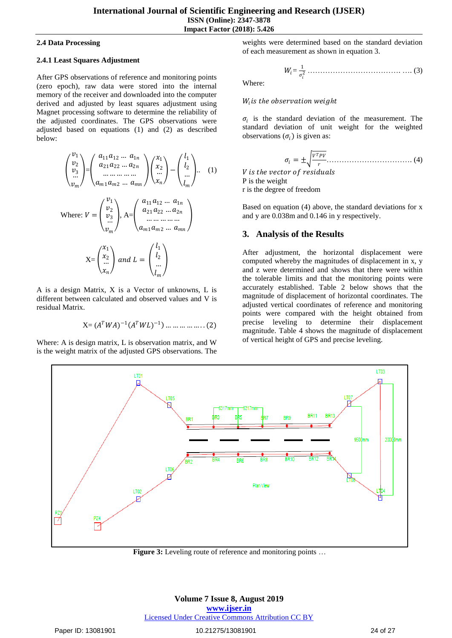#### **2.4 Data Processing**

#### **2.4.1 Least Squares Adjustment**

After GPS observations of reference and monitoring points (zero epoch), raw data were stored into the internal memory of the receiver and downloaded into the computer derived and adjusted by least squares adjustment using Magnet processing software to determine the reliability of the adjusted coordinates. The GPS observations were adjusted based on equations (1) and (2) as described below:

$$
\begin{pmatrix} v_1 \\ v_2 \\ v_3 \\ \vdots \\ v_m \end{pmatrix} = \begin{pmatrix} a_{11}a_{12} \dots a_{1n} \\ a_{21}a_{22} \dots a_{2n} \\ \dots \dots \dots \dots \\ a_{m1}a_{m2} \dots a_{mn} \end{pmatrix} \begin{pmatrix} x_1 \\ x_2 \\ \vdots \\ x_n \end{pmatrix} = \begin{pmatrix} l_1 \\ l_2 \\ \vdots \\ l_m \end{pmatrix} . \quad (1)
$$
  
\nWhere:  $V = \begin{pmatrix} v_1 \\ v_2 \\ \vdots \\ v_n \end{pmatrix}$ ,  $A = \begin{pmatrix} a_{11}a_{12} \dots a_{1n} \\ a_{21}a_{22} \dots a_{2n} \end{pmatrix}$ 

here: 
$$
V = \begin{pmatrix} v_3 \\ \frac{v_3}{\cdots} \end{pmatrix}
$$
,  $A = \begin{pmatrix} u_{21} & u_{22} & \cdots & u_{2n} \\ \vdots & \vdots & \ddots & \vdots \\ u_{m1} & u_{m2} & \cdots & u_{mn} \end{pmatrix}$   

$$
X = \begin{pmatrix} x_1 \\ x_2 \\ \vdots \\ x_n \end{pmatrix} \text{ and } L = \begin{pmatrix} l_1 \\ l_2 \\ \vdots \\ l_m \end{pmatrix}
$$

A is a design Matrix, X is a Vector of unknowns, L is different between calculated and observed values and V is residual Matrix.

$$
X = (A^TWA)^{-1}(A^TWL)^{-1}) \dots \dots \dots \dots \dots (2)
$$

Where: A is design matrix, L is observation matrix, and W is the weight matrix of the adjusted GPS observations. The

weights were determined based on the standard deviation of each measurement as shown in equation 3.

= 1 <sup>2</sup> ………………………………. …. (3)

Where:

# $W_i$  *is the observation weight*

 $\sigma_i$  is the standard deviation of the measurement. The standard deviation of unit weight for the weighted observations  $(\sigma_i)$  is given as:

$$
\sigma_i = \pm \sqrt{\frac{v^T p v}{r}} \dots \dots \dots \dots \dots \dots \dots \dots \dots \dots \dots \dots \tag{4}
$$

*V* is the vector of residuals P is the weight r is the degree of freedom

Based on equation (4) above, the standard deviations for x and y are 0.038m and 0.146 in y respectively.

# **3. Analysis of the Results**

After adjustment, the horizontal displacement were computed whereby the magnitudes of displacement in x, y and z were determined and shows that there were within the tolerable limits and that the monitoring points were accurately established. Table 2 below shows that the magnitude of displacement of horizontal coordinates. The adjusted vertical coordinates of reference and monitoring points were compared with the height obtained from precise leveling to determine their displacement magnitude. Table 4 shows the magnitude of displacement of vertical height of GPS and precise leveling.



**Figure 3:** Leveling route of reference and monitoring points …

#### **Volume 7 Issue 8, August 2019 www.ijser.in** Licensed Under Creative Commons Attribution CC BY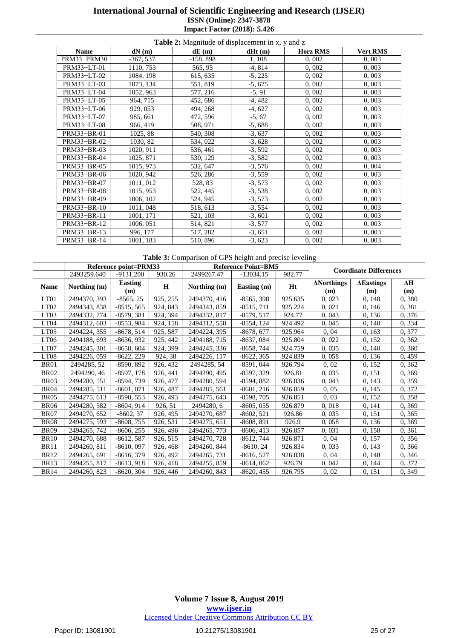| <b>Table 2:</b> Magnitude of displacement in x, y and z |             |            |           |                 |                 |  |
|---------------------------------------------------------|-------------|------------|-----------|-----------------|-----------------|--|
| <b>Name</b>                                             | dN(m)       | dE(m)      | dHt(m)    | <b>Horz RMS</b> | <b>Vert RMS</b> |  |
| PRM33-PRM30                                             | $-367, 537$ | $-158,898$ | 1, 108    | 0,002           | 0,003           |  |
| PRM33-LT-01                                             | 1110, 753   | 565, 95    | $-4,814$  | 0,002           | 0,003           |  |
| PRM33-LT-02                                             | 1084, 198   | 615, 635   | $-5, 225$ | 0,002           | 0,003           |  |
| PRM33-LT-03                                             | 1073, 134   | 551, 819   | $-5,675$  | 0,002           | 0,003           |  |
| PRM33-LT-04                                             | 1052, 963   | 577, 216   | $-5, 91$  | 0,002           | 0,003           |  |
| PRM33-LT-05                                             | 964, 715    | 452, 686   | $-4,482$  | 0,002           | 0,003           |  |
| PRM33-LT-06                                             | 929, 053    | 494, 268   | $-4,627$  | 0,002           | 0,003           |  |
| PRM33-LT-07                                             | 985, 661    | 472, 596   | $-5, 67$  | 0,002           | 0,003           |  |
| PRM33-LT-08                                             | 966, 419    | 508, 971   | $-5,688$  | 0,002           | 0,003           |  |
| PRM33-BR-01                                             | 1025, 88    | 540, 308   | $-3,637$  | 0,002           | 0,003           |  |
| PRM33-BR-02                                             | 1030, 82    | 534, 022   | $-3,628$  | 0,002           | 0,003           |  |
| PRM33-BR-03                                             | 1020, 911   | 536, 461   | $-3,592$  | 0,002           | 0,003           |  |
| PRM33-BR-04                                             | 1025, 871   | 530, 129   | $-3,582$  | 0,002           | 0,003           |  |
| PRM33-BR-05                                             | 1015, 973   | 532, 647   | $-3,576$  | 0,002           | 0,004           |  |
| PRM33-BR-06                                             | 1020, 942   | 526, 286   | $-3, 559$ | 0,002           | 0,003           |  |
| PRM33-BR-07                                             | 1011, 012   | 528, 83    | $-3,573$  | 0,002           | 0,003           |  |
| PRM33-BR-08                                             | 1015, 953   | 522, 445   | $-3,538$  | 0,002           | 0,003           |  |
| PRM33-BR-09                                             | 1006, 102   | 524, 945   | $-3,573$  | 0,002           | 0,003           |  |
| PRM33-BR-10                                             | 1011, 048   | 518, 613   | $-3, 554$ | 0,002           | 0,003           |  |
| PRM33-BR-11                                             | 1001, 171   | 521, 103   | $-3,601$  | 0,002           | 0,003           |  |
| PRM33-BR-12                                             | 1006, 051   | 514, 821   | $-3,577$  | 0,002           | 0,003           |  |
| PRM33-BR-13                                             | 996, 177    | 517, 282   | $-3,651$  | 0,002           | 0,003           |  |
| PRM33-BR-14                                             | 1001, 183   | 510, 896   | $-3,623$  | 0,002           | 0,003           |  |

**Table 3:** Comparison of GPS height and precise leveling

|                  | <b>Reference point=PRM33</b> |                       |          | <b>Reference Point=BM5</b> |              |         |                               |                          |                   |
|------------------|------------------------------|-----------------------|----------|----------------------------|--------------|---------|-------------------------------|--------------------------|-------------------|
|                  | 2493259.640                  | $-9131.200$           | 930.26   | 2499267.47                 | $-13034.15$  | 982.77  | <b>Coordinate Differences</b> |                          |                   |
| <b>Name</b>      | Northing (m)                 | <b>Easting</b><br>(m) | H        | Northing (m)               | Easting (m)  | Ht      | <b>ANorthings</b><br>(m)      | <b>AE</b> astings<br>(m) | $\Delta H$<br>(m) |
| LT01             | 2494370, 393                 | $-8565, 25$           | 925, 255 | 2494370, 416               | $-8565, 398$ | 925.635 | 0,023                         | 0, 148                   | 0, 380            |
| LT <sub>02</sub> | 2494343, 838                 | $-8515, 565$          | 924, 843 | 2494343, 859               | $-8515, 711$ | 925.224 | 0,021                         | 0,146                    | 0,381             |
| LT <sub>03</sub> | 2494332, 774                 | $-8579, 381$          | 924, 394 | 2494332, 817               | $-8579, 517$ | 924.77  | 0,043                         | 0, 136                   | 0,376             |
| LT <sub>04</sub> | 2494312, 603                 | $-8553,984$           | 924, 158 | 2494312, 558               | -8554, 124   | 924.492 | 0,045                         | 0, 140                   | 0, 334            |
| LT <sub>05</sub> | 2494224, 355                 | $-8678, 514$          | 925, 587 | 2494224, 395               | $-8678, 677$ | 925.964 | 0,04                          | 0, 163                   | 0, 377            |
| LT <sub>06</sub> | 2494188, 693                 | $-8636, 932$          | 925, 442 | 2494188, 715               | $-8637,084$  | 925.804 | 0,022                         | 0, 152                   | 0, 362            |
| LT07             | 2494245, 301                 | $-8658, 604$          | 924, 399 | 2494245, 336               | $-8658,744$  | 924.759 | 0,035                         | 0, 140                   | 0, 360            |
| LT <sub>08</sub> | 2494226, 059                 | $-8622, 229$          | 924, 38  | 2494226, 117               | $-8622, 365$ | 924.839 | 0,058                         | 0, 136                   | 0,459             |
| <b>BR01</b>      | 2494285, 52                  | $-8590, 892$          | 926, 432 | 2494285, 54                | $-8591,044$  | 926.794 | 0,02                          | 0, 152                   | 0, 362            |
| <b>BR02</b>      | 2494290, 46                  | $-8597, 178$          | 926, 441 | 2494290, 495               | $-8597, 329$ | 926.81  | 0,035                         | 0, 151                   | 0, 369            |
| BR03             | 2494280, 551                 | $-8594,739$           | 926, 477 | 2494280, 594               | $-8594, 882$ | 926.836 | 0,043                         | 0, 143                   | 0,359             |
| <b>BR04</b>      | 2494285, 511                 | $-8601,071$           | 926, 487 | 2494285, 561               | $-8601, 216$ | 926.859 | 0,05                          | 0, 145                   | 0, 372            |
| <b>BR05</b>      | 2494275, 613                 | $-8598, 553$          | 926, 493 | 2494275, 643               | $-8598, 705$ | 926.851 | 0,03                          | 0, 152                   | 0,358             |
| <b>BR06</b>      | 2494280, 582                 | $-8604, 914$          | 926, 51  | 2494280, 6                 | $-8605, 055$ | 926.879 | 0,018                         | 0, 141                   | 0, 369            |
| <b>BR07</b>      | 2494270, 652                 | $-8602, 37$           | 926, 495 | 2494270, 687               | $-8602, 521$ | 926.86  | 0,035                         | 0, 151                   | 0, 365            |
| <b>BR08</b>      | 2494275, 593                 | $-8608, 755$          | 926, 531 | 2494275, 651               | $-8608, 891$ | 926.9   | 0,058                         | 0, 136                   | 0, 369            |
| <b>BR09</b>      | 2494265, 742                 | $-8606, 255$          | 926, 496 | 2494265, 773               | $-8606, 413$ | 926.857 | 0,031                         | 0,158                    | 0,361             |
| <b>BR10</b>      | 2494270, 688                 | $-8612, 587$          | 926, 515 | 2494270, 728               | $-8612,744$  | 926.871 | 0,04                          | 0, 157                   | 0, 356            |
| <b>BR11</b>      | 2494260, 811                 | $-8610,097$           | 926, 468 | 2494260, 844               | $-8610, 24$  | 926.834 | 0,033                         | 0, 143                   | 0, 366            |
| <b>BR12</b>      | 2494265, 691                 | $-8616, 379$          | 926, 492 | 2494265, 731               | $-8616, 527$ | 926.838 | 0,04                          | 0, 148                   | 0, 346            |
| <b>BR13</b>      | 2494255, 817                 | $-8613,918$           | 926, 418 | 2494255, 859               | $-8614,062$  | 926.79  | 0,042                         | 0, 144                   | 0, 372            |
| <b>BR14</b>      | 2494260, 823                 | $-8620, 304$          | 926, 446 | 2494260, 843               | $-8620, 455$ | 926.795 | 0,02                          | 0, 151                   | 0, 349            |

#### **Volume 7 Issue 8, August 2019 www.ijser.in** Licensed Under Creative Commons Attribution CC BY

#### Paper ID: 13081901 25 of 27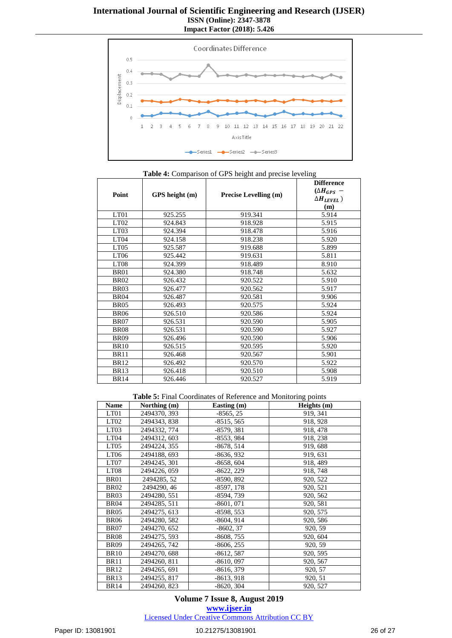

| Point            | GPS height (m) | <b>Precise Levelling (m)</b> | <b>Difference</b><br>$(\Delta H_{GPS}$ –<br>$\Delta H_{LEVEL}$ )<br>(m) |
|------------------|----------------|------------------------------|-------------------------------------------------------------------------|
| LT01             | 925.255        | 919.341                      | 5.914                                                                   |
| LT <sub>02</sub> | 924.843        | 918.928                      | 5.915                                                                   |
| LT <sub>03</sub> | 924.394        | 918.478                      | 5.916                                                                   |
| LT <sub>04</sub> | 924.158        | 918.238                      | 5.920                                                                   |
| LT <sub>05</sub> | 925.587        | 919.688                      | 5.899                                                                   |
| LT <sub>06</sub> | 925.442        | 919.631                      | 5.811                                                                   |
| LT <sub>08</sub> | 924.399        | 918.489                      | 8.910                                                                   |
| <b>BR01</b>      | 924.380        | 918.748                      | 5.632                                                                   |
| <b>BR02</b>      | 926.432        | 920.522                      | 5.910                                                                   |
| <b>BR03</b>      | 926.477        | 920.562                      | 5.917                                                                   |
| <b>BR04</b>      | 926.487        | 920.581                      | 9.906                                                                   |
| <b>BR05</b>      | 926.493        | 920.575                      | 5.924                                                                   |
| <b>BR06</b>      | 926.510        | 920.586                      | 5.924                                                                   |
| <b>BR07</b>      | 926.531        | 920.590                      | 5.905                                                                   |
| <b>BR08</b>      | 926.531        | 920.590                      | 5.927                                                                   |
| <b>BR09</b>      | 926.496        | 920.590                      | 5.906                                                                   |
| <b>BR10</b>      | 926.515        | 920.595                      | 5.920                                                                   |
| <b>BR11</b>      | 926.468        | 920.567                      | 5.901                                                                   |
| <b>BR12</b>      | 926.492        | 920.570                      | 5.922                                                                   |
| <b>BR13</b>      | 926.418        | 920.510                      | 5.908                                                                   |
| <b>BR14</b>      | 926.446        | 920.527                      | 5.919                                                                   |

#### **Table 4:** Comparison of GPS height and precise leveling

**Table 5:** Final Coordinates of Reference and Monitoring points

| <b>Name</b>      | Northing (m) | Easting (m)  | Heights (m) |
|------------------|--------------|--------------|-------------|
| LT01             | 2494370, 393 | $-8565, 25$  | 919, 341    |
| LT <sub>02</sub> | 2494343, 838 | $-8515, 565$ | 918, 928    |
| LT <sub>03</sub> | 2494332, 774 | $-8579, 381$ | 918, 478    |
| LT <sub>04</sub> | 2494312, 603 | $-8553,984$  | 918, 238    |
| LT <sub>05</sub> | 2494224, 355 | $-8678, 514$ | 919, 688    |
| LT <sub>06</sub> | 2494188, 693 | $-8636, 932$ | 919, 631    |
| LT07             | 2494245, 301 | $-8658, 604$ | 918, 489    |
| LT <sub>08</sub> | 2494226, 059 | $-8622, 229$ | 918, 748    |
| <b>BR01</b>      | 2494285, 52  | $-8590, 892$ | 920, 522    |
| <b>BR02</b>      | 2494290, 46  | $-8597, 178$ | 920, 521    |
| <b>BR03</b>      | 2494280, 551 | $-8594,739$  | 920, 562    |
| <b>BR04</b>      | 2494285, 511 | $-8601,071$  | 920, 581    |
| <b>BR05</b>      | 2494275, 613 | $-8598, 553$ | 920, 575    |
| <b>BR06</b>      | 2494280, 582 | $-8604, 914$ | 920, 586    |
| <b>BR07</b>      | 2494270, 652 | $-8602, 37$  | 920, 59     |
| <b>BR08</b>      | 2494275, 593 | $-8608, 755$ | 920, 604    |
| <b>BR09</b>      | 2494265, 742 | $-8606, 255$ | 920, 59     |
| <b>BR10</b>      | 2494270, 688 | $-8612, 587$ | 920, 595    |
| <b>BR11</b>      | 2494260, 811 | $-8610,097$  | 920, 567    |
| <b>BR12</b>      | 2494265, 691 | $-8616, 379$ | 920, 57     |
| <b>BR13</b>      | 2494255, 817 | $-8613,918$  | 920, 51     |
| <b>BR14</b>      | 2494260, 823 | $-8620, 304$ | 920, 527    |

**Volume 7 Issue 8, August 2019 www.ijser.in** Licensed Under Creative Commons Attribution CC BY